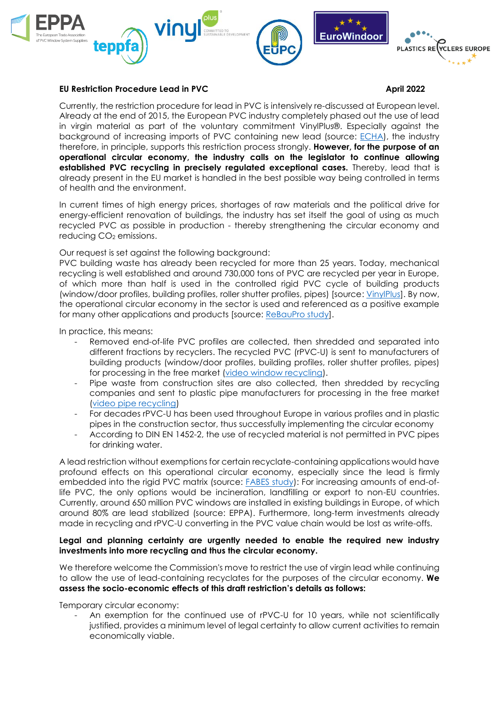





## **EU Restriction Procedure Lead in PVC April 2022**

VINU

Currently, the restriction procedure for lead in PVC is intensively re-discussed at European level. Already at the end of 2015, the European PVC industry completely phased out the use of lead in virgin material as part of the voluntary commitment VinylPlus®. Especially against the background of increasing imports of PVC containing new lead (source: [ECHA\)](https://www.echa.europa.eu/documents/10162/1459379/chem_recycling_final_report_en.pdf/887c4182-8327-e197-0bc4-17a5d608de6e?t=1636708465520), the industry therefore, in principle, supports this restriction process strongly. **However, for the purpose of an operational circular economy, the industry calls on the legislator to continue allowing established PVC recycling in precisely regulated exceptional cases.** Thereby, lead that is already present in the EU market is handled in the best possible way being controlled in terms of health and the environment.

In current times of high energy prices, shortages of raw materials and the political drive for energy-efficient renovation of buildings, the industry has set itself the goal of using as much recycled PVC as possible in production - thereby strengthening the circular economy and reducing CO<sub>2</sub> emissions.

Our request is set against the following background:

PVC building waste has already been recycled for more than 25 years. Today, mechanical recycling is well established and around 730,000 tons of PVC are recycled per year in Europe, of which more than half is used in the controlled rigid PVC cycle of building products (window/door profiles, building profiles, roller shutter profiles, pipes) [source: [VinylPlus\]](https://www.vinylplus.eu/resources/new-vinylplus-progress-report-2021/). By now, the operational circular economy in the sector is used and referenced as a positive example for many other applications and products [source: [ReBauPro study\]](https://www.umweltbundesamt.de/sites/default/files/medien/1410/publikationen/2021-11-23_texte_152-2021_rebaupro_en_0.pdf).

In practice, this means:

- Removed end-of-life PVC profiles are collected, then shredded and separated into different fractions by recyclers. The recycled PVC (rPVC-U) is sent to manufacturers of building products (window/door profiles, building profiles, roller shutter profiles, pipes) for processing in the free market [\(video window recycling\)](https://www.eppa-profiles.eu/videos).
- Pipe waste from construction sites are also collected, then shredded by recycling companies and sent to plastic pipe manufacturers for processing in the free market [\(video pipe recycling\)](https://www.youtube.com/watch?v=22DPkmKG64w)
- For decades rPVC-U has been used throughout Europe in various profiles and in plastic pipes in the construction sector, thus successfully implementing the circular economy
- According to DIN EN 1452-2, the use of recycled material is not permitted in PVC pipes for drinking water.

A lead restriction without exemptions for certain recyclate-containing applications would have profound effects on this operational circular economy, especially since the lead is firmly embedded into the rigid PVC matrix (source: [FABES study\)](https://onlinelibrary.wiley.com/doi/10.1002/vnl.21609): For increasing amounts of end-oflife PVC, the only options would be incineration, landfilling or export to non-EU countries. Currently, around 650 million PVC windows are installed in existing buildings in Europe, of which around 80% are lead stabilized (source: EPPA). Furthermore, long-term investments already made in recycling and rPVC-U converting in the PVC value chain would be lost as write-offs.

## **Legal and planning certainty are urgently needed to enable the required new industry investments into more recycling and thus the circular economy.**

We therefore welcome the Commission's move to restrict the use of virgin lead while continuing to allow the use of lead-containing recyclates for the purposes of the circular economy. **We assess the socio-economic effects of this draft restriction's details as follows:**

Temporary circular economy:

An exemption for the continued use of rPVC-U for 10 years, while not scientifically justified, provides a minimum level of legal certainty to allow current activities to remain economically viable.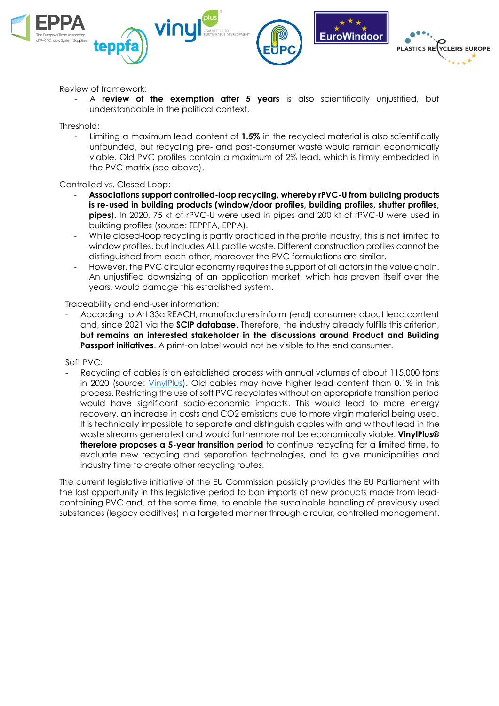





## Review of framework:

- A **review of the exemption after 5 years** is also scientifically unjustified, but understandable in the political context.

Threshold:

Limiting a maximum lead content of **1.5%** in the recycled material is also scientifically unfounded, but recycling pre- and post-consumer waste would remain economically viable. Old PVC profiles contain a maximum of 2% lead, which is firmly embedded in the PVC matrix (see above).

Controlled vs. Closed Loop:

- **Associations support controlled-loop recycling, whereby rPVC-U from building products is re-used in building products (window/door profiles, building profiles, shutter profiles, pipes**). In 2020, 75 kt of rPVC-U were used in pipes and 200 kt of rPVC-U were used in building profiles (source: TEPPFA, EPPA).
- While closed-loop recycling is partly practiced in the profile industry, this is not limited to window profiles, but includes ALL profile waste. Different construction profiles cannot be distinguished from each other, moreover the PVC formulations are similar.
- However, the PVC circular economy requires the support of all actors in the value chain. An unjustified downsizing of an application market, which has proven itself over the years, would damage this established system.

Traceability and end-user information:

- According to Art 33a REACH, manufacturers inform (end) consumers about lead content and, since 2021 via the **SCIP database**. Therefore, the industry already fulfills this criterion, **but remains an interested stakeholder in the discussions around Product and Building Passport initiatives.** A print-on label would not be visible to the end consumer.

Soft PVC:

Recycling of cables is an established process with annual volumes of about 115,000 tons in 2020 (source: [VinylPlus\)](https://www.vinylplus.eu/resources/new-vinylplus-progress-report-2021/). Old cables may have higher lead content than 0.1% in this process. Restricting the use of soft PVC recyclates without an appropriate transition period would have significant socio-economic impacts. This would lead to more energy recovery, an increase in costs and CO2 emissions due to more virgin material being used. It is technically impossible to separate and distinguish cables with and without lead in the waste streams generated and would furthermore not be economically viable. **VinylPlus® therefore proposes a 5-year transition period** to continue recycling for a limited time, to evaluate new recycling and separation technologies, and to give municipalities and industry time to create other recycling routes.

The current legislative initiative of the EU Commission possibly provides the EU Parliament with the last opportunity in this legislative period to ban imports of new products made from leadcontaining PVC and, at the same time, to enable the sustainable handling of previously used substances (legacy additives) in a targeted manner through circular, controlled management.